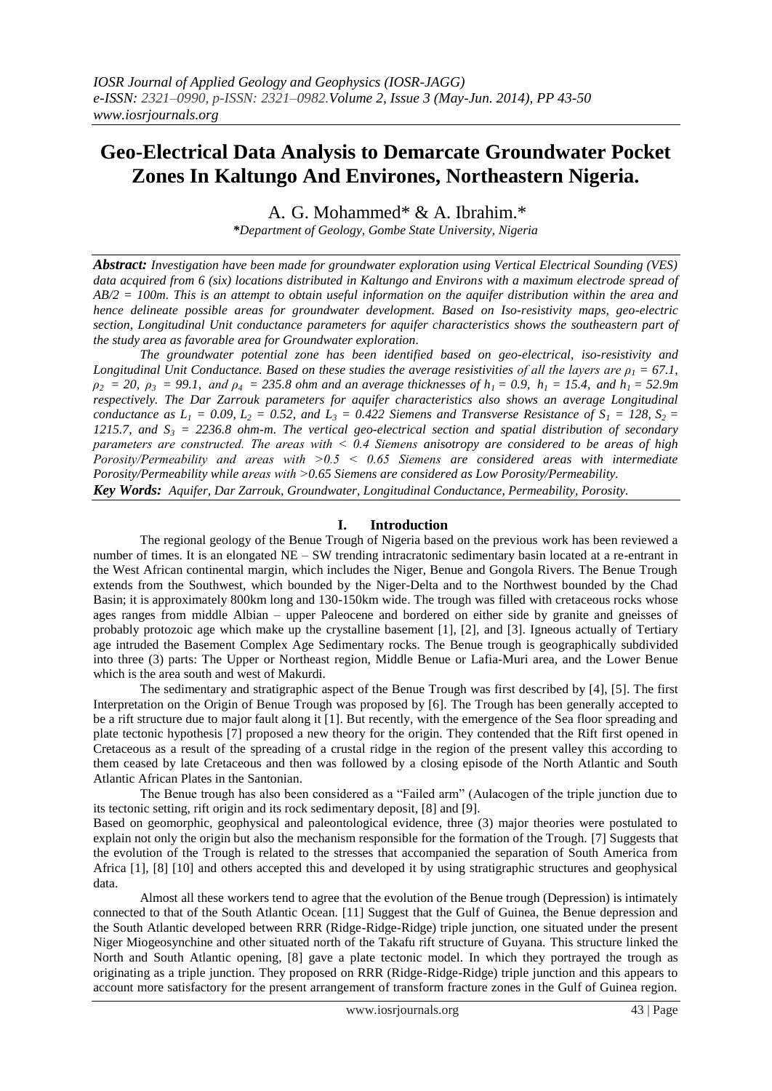# **Geo-Electrical Data Analysis to Demarcate Groundwater Pocket Zones In Kaltungo And Environes, Northeastern Nigeria.**

A. G. Mohammed\* & A. Ibrahim.\*

*\*Department of Geology, Gombe State University, Nigeria*

*Abstract: Investigation have been made for groundwater exploration using Vertical Electrical Sounding (VES) data acquired from 6 (six) locations distributed in Kaltungo and Environs with a maximum electrode spread of AB/2 = 100m. This is an attempt to obtain useful information on the aquifer distribution within the area and hence delineate possible areas for groundwater development. Based on Iso-resistivity maps, geo-electric section, Longitudinal Unit conductance parameters for aquifer characteristics shows the southeastern part of the study area as favorable area for Groundwater exploration.* 

*The groundwater potential zone has been identified based on geo-electrical, iso-resistivity and Longitudinal Unit Conductance. Based on these studies the average resistivities of all the layers are*  $p_1 = 67.1$ *,*  $\rho_2$  = 20,  $\rho_3$  = 99.1, and  $\rho_4$  = 235.8 ohm and an average thicknesses of  $h_1$  = 0.9,  $h_1$  = 15.4, and  $h_1$  = 52.9m *respectively. The Dar Zarrouk parameters for aquifer characteristics also shows an average Longitudinal conductance as*  $L_1 = 0.09$ ,  $L_2 = 0.52$ , and  $L_3 = 0.422$  Siemens and Transverse Resistance of  $S_1 = 128$ ,  $S_2 = 128$ *1215.7, and S<sup>3</sup> = 2236.8 ohm-m. The vertical geo-electrical section and spatial distribution of secondary parameters are constructed. The areas with ˂ 0.4 Siemens anisotropy are considered to be areas of high Porosity/Permeability and areas with ˃0.5 ˂ 0.65 Siemens are considered areas with intermediate Porosity/Permeability while areas with ˃0.65 Siemens are considered as Low Porosity/Permeability.* 

*Key Words: Aquifer, Dar Zarrouk, Groundwater, Longitudinal Conductance, Permeability, Porosity.* 

#### **I. Introduction**

The regional geology of the Benue Trough of Nigeria based on the previous work has been reviewed a number of times. It is an elongated NE – SW trending intracratonic sedimentary basin located at a re-entrant in the West African continental margin, which includes the Niger, Benue and Gongola Rivers. The Benue Trough extends from the Southwest, which bounded by the Niger-Delta and to the Northwest bounded by the Chad Basin; it is approximately 800km long and 130-150km wide. The trough was filled with cretaceous rocks whose ages ranges from middle Albian – upper Paleocene and bordered on either side by granite and gneisses of probably protozoic age which make up the crystalline basement [1], [2], and [3]. Igneous actually of Tertiary age intruded the Basement Complex Age Sedimentary rocks. The Benue trough is geographically subdivided into three (3) parts: The Upper or Northeast region, Middle Benue or Lafia-Muri area, and the Lower Benue which is the area south and west of Makurdi.

The sedimentary and stratigraphic aspect of the Benue Trough was first described by [4], [5]. The first Interpretation on the Origin of Benue Trough was proposed by [6]. The Trough has been generally accepted to be a rift structure due to major fault along it [1]. But recently, with the emergence of the Sea floor spreading and plate tectonic hypothesis [7] proposed a new theory for the origin. They contended that the Rift first opened in Cretaceous as a result of the spreading of a crustal ridge in the region of the present valley this according to them ceased by late Cretaceous and then was followed by a closing episode of the North Atlantic and South Atlantic African Plates in the Santonian.

The Benue trough has also been considered as a "Failed arm" (Aulacogen of the triple junction due to its tectonic setting, rift origin and its rock sedimentary deposit, [8] and [9].

Based on geomorphic, geophysical and paleontological evidence, three (3) major theories were postulated to explain not only the origin but also the mechanism responsible for the formation of the Trough. [7] Suggests that the evolution of the Trough is related to the stresses that accompanied the separation of South America from Africa [1], [8] [10] and others accepted this and developed it by using stratigraphic structures and geophysical data.

Almost all these workers tend to agree that the evolution of the Benue trough (Depression) is intimately connected to that of the South Atlantic Ocean. [11] Suggest that the Gulf of Guinea, the Benue depression and the South Atlantic developed between RRR (Ridge-Ridge-Ridge) triple junction, one situated under the present Niger Miogeosynchine and other situated north of the Takafu rift structure of Guyana. This structure linked the North and South Atlantic opening, [8] gave a plate tectonic model. In which they portrayed the trough as originating as a triple junction. They proposed on RRR (Ridge-Ridge-Ridge) triple junction and this appears to account more satisfactory for the present arrangement of transform fracture zones in the Gulf of Guinea region.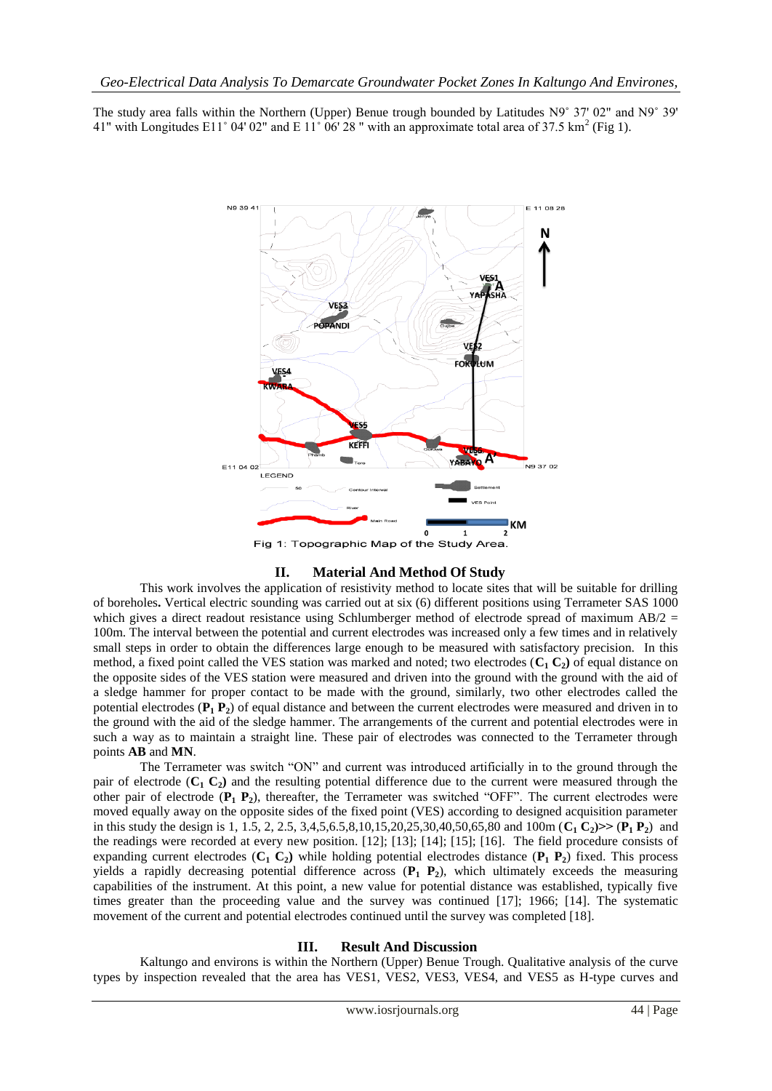The study area falls within the Northern (Upper) Benue trough bounded by Latitudes N9˚ 37' 02" and N9˚ 39' 41" with Longitudes E11° 04' 02" and E 11° 06' 28" with an approximate total area of 37.5 km<sup>2</sup> (Fig 1).



#### **II. Material And Method Of Study**

This work involves the application of resistivity method to locate sites that will be suitable for drilling of boreholes**.** Vertical electric sounding was carried out at six (6) different positions using Terrameter SAS 1000 which gives a direct readout resistance using Schlumberger method of electrode spread of maximum  $AB/2 =$ 100m. The interval between the potential and current electrodes was increased only a few times and in relatively small steps in order to obtain the differences large enough to be measured with satisfactory precision. In this method, a fixed point called the VES station was marked and noted; two electrodes  $(C_1 C_2)$  of equal distance on the opposite sides of the VES station were measured and driven into the ground with the ground with the aid of a sledge hammer for proper contact to be made with the ground, similarly, two other electrodes called the potential electrodes (**P<sup>1</sup> P2**) of equal distance and between the current electrodes were measured and driven in to the ground with the aid of the sledge hammer. The arrangements of the current and potential electrodes were in such a way as to maintain a straight line. These pair of electrodes was connected to the Terrameter through points **AB** and **MN**.

The Terrameter was switch "ON" and current was introduced artificially in to the ground through the pair of electrode  $(C_1 C_2)$  and the resulting potential difference due to the current were measured through the other pair of electrode (**P<sup>1</sup> P2**), thereafter, the Terrameter was switched "OFF". The current electrodes were moved equally away on the opposite sides of the fixed point (VES) according to designed acquisition parameter in this study the design is 1, 1.5, 2, 2.5, 3,4,5,6.5,8,10,15,20,25,30,40,50,65,80 and 100m ( $C_1 C_2$ ) >> ( $P_1 P_2$ ) and the readings were recorded at every new position. [12]; [13]; [14]; [15]; [16]. The field procedure consists of expanding current electrodes (**C<sup>1</sup> C2)** while holding potential electrodes distance (**P<sup>1</sup> P2**) fixed. This process yields a rapidly decreasing potential difference across (**P<sup>1</sup> P2**), which ultimately exceeds the measuring capabilities of the instrument. At this point, a new value for potential distance was established, typically five times greater than the proceeding value and the survey was continued [17]; 1966; [14]. The systematic movement of the current and potential electrodes continued until the survey was completed [18].

#### **III. Result And Discussion**

Kaltungo and environs is within the Northern (Upper) Benue Trough. Qualitative analysis of the curve types by inspection revealed that the area has VES1, VES2, VES3, VES4, and VES5 as H-type curves and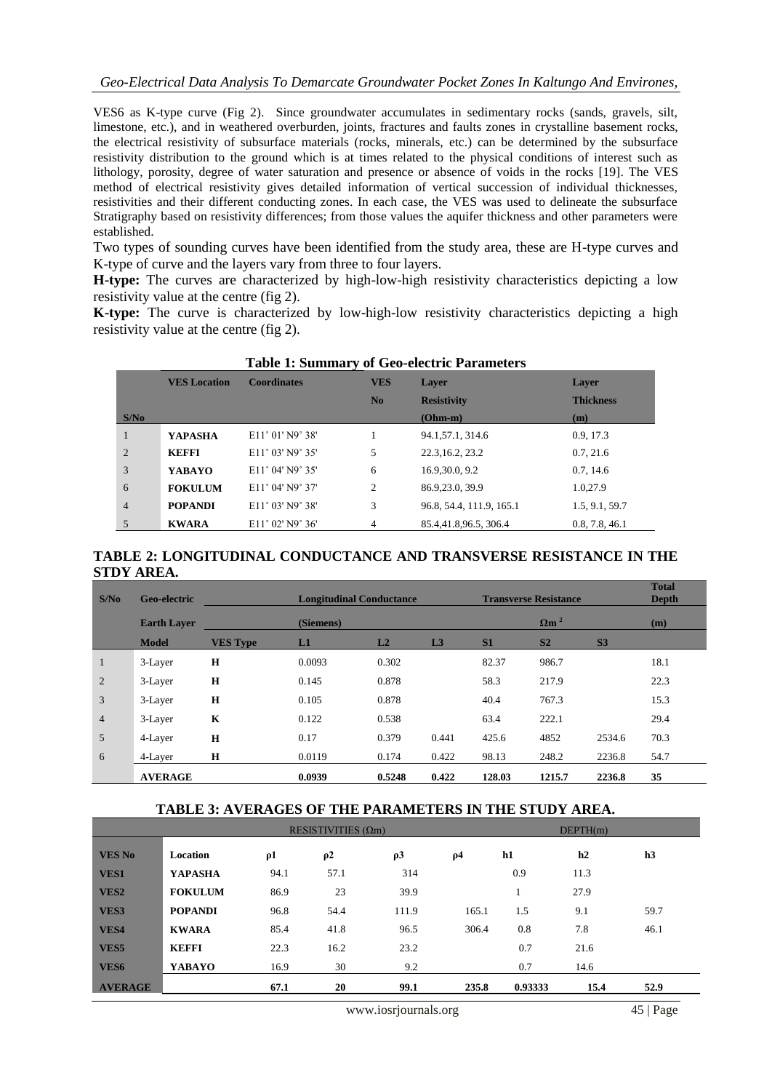VES6 as K-type curve (Fig 2). Since groundwater accumulates in sedimentary rocks (sands, gravels, silt, limestone, etc.), and in weathered overburden, joints, fractures and faults zones in crystalline basement rocks, the electrical resistivity of subsurface materials (rocks, minerals, etc.) can be determined by the subsurface resistivity distribution to the ground which is at times related to the physical conditions of interest such as lithology, porosity, degree of water saturation and presence or absence of voids in the rocks [19]. The VES method of electrical resistivity gives detailed information of vertical succession of individual thicknesses, resistivities and their different conducting zones. In each case, the VES was used to delineate the subsurface Stratigraphy based on resistivity differences; from those values the aquifer thickness and other parameters were established.

Two types of sounding curves have been identified from the study area, these are H-type curves and K-type of curve and the layers vary from three to four layers.

**H-type:** The curves are characterized by high-low-high resistivity characteristics depicting a low resistivity value at the centre (fig 2).

**K-type:** The curve is characterized by low-high-low resistivity characteristics depicting a high resistivity value at the centre (fig 2).

| Table 1: Summary of Geo-electric Parameters |                     |                                     |                |                          |                  |  |  |  |  |
|---------------------------------------------|---------------------|-------------------------------------|----------------|--------------------------|------------------|--|--|--|--|
|                                             | <b>VES Location</b> | <b>Coordinates</b>                  | <b>VES</b>     | Laver                    | Laver            |  |  |  |  |
|                                             |                     |                                     | N <sub>0</sub> | <b>Resistivity</b>       | <b>Thickness</b> |  |  |  |  |
| S/N <sub>0</sub>                            |                     |                                     |                | $(Ohm-m)$                | (m)              |  |  |  |  |
| 1                                           | <b>YAPASHA</b>      | $E11^{\circ}01'$ N9 $^{\circ}38'$   |                | 94.1.57.1.314.6          | 0.9, 17.3        |  |  |  |  |
| 2                                           | <b>KEFFI</b>        | E11° 03' N9° 35'                    | 5              | 22.3, 16.2, 23.2         | 0.7, 21.6        |  |  |  |  |
| 3                                           | <b>YABAYO</b>       | $E11^{\circ}$ 04' N9 $^{\circ}$ 35' | 6              | 16.9,30.0, 9.2           | 0.7, 14.6        |  |  |  |  |
| 6                                           | <b>FOKULUM</b>      | $E11^{\circ}$ 04' N9 $^{\circ}$ 37' | $\overline{c}$ | 86.9, 23.0, 39.9         | 1.0,27.9         |  |  |  |  |
| $\overline{4}$                              | <b>POPANDI</b>      | E11° 03' N9° 38'                    | 3              | 96.8, 54.4, 111.9, 165.1 | 1.5, 9.1, 59.7   |  |  |  |  |
| 5                                           | <b>KWARA</b>        | $E11^{\circ}$ 02' N9 $^{\circ}$ 36' | 4              | 85.4.41.8.96.5.306.4     | 0.8, 7.8, 46.1   |  |  |  |  |

## **Table 1: Summary of Geo-electric Parameters**

## **TABLE 2: LONGITUDINAL CONDUCTANCE AND TRANSVERSE RESISTANCE IN THE STDY AREA.**

| S/N <sub>0</sub> | <b>Geo-electric</b> |                 | <b>Longitudinal Conductance</b> |        |                |                         | <b>Transverse Resistance</b> |                |      |
|------------------|---------------------|-----------------|---------------------------------|--------|----------------|-------------------------|------------------------------|----------------|------|
|                  | <b>Earth Laver</b>  |                 | (Siemens)                       |        |                | $\Omega$ m <sup>2</sup> |                              |                | (m)  |
|                  | <b>Model</b>        | <b>VES Type</b> | L1                              | L2     | L <sub>3</sub> | S <sub>1</sub>          | S <sub>2</sub>               | S <sub>3</sub> |      |
| $\mathbf{1}$     | 3-Layer             | $\mathbf H$     | 0.0093                          | 0.302  |                | 82.37                   | 986.7                        |                | 18.1 |
| 2                | 3-Layer             | $\mathbf H$     | 0.145                           | 0.878  |                | 58.3                    | 217.9                        |                | 22.3 |
| 3                | 3-Layer             | $\mathbf H$     | 0.105                           | 0.878  |                | 40.4                    | 767.3                        |                | 15.3 |
| $\overline{4}$   | 3-Layer             | $\mathbf K$     | 0.122                           | 0.538  |                | 63.4                    | 222.1                        |                | 29.4 |
| 5                | 4-Layer             | $\mathbf H$     | 0.17                            | 0.379  | 0.441          | 425.6                   | 4852                         | 2534.6         | 70.3 |
| 6                | 4-Layer             | H               | 0.0119                          | 0.174  | 0.422          | 98.13                   | 248.2                        | 2236.8         | 54.7 |
|                  | <b>AVERAGE</b>      |                 | 0.0939                          | 0.5248 | 0.422          | 128.03                  | 1215.7                       | 2236.8         | 35   |

### **TABLE 3: AVERAGES OF THE PARAMETERS IN THE STUDY AREA.**

|                  | RESISTIVITIES $(\Omega m)$ |          |          |          |          | DEFTH(m) |      |      |
|------------------|----------------------------|----------|----------|----------|----------|----------|------|------|
| <b>VES No</b>    | Location                   | $\rho$ 1 | $\rho$ 2 | $\rho$ 3 | $\rho$ 4 | h1       | h2   | h3   |
| VES1             | <b>YAPASHA</b>             | 94.1     | 57.1     | 314      |          | 0.9      | 11.3 |      |
| VES <sub>2</sub> | <b>FOKULUM</b>             | 86.9     | 23       | 39.9     |          | 1        | 27.9 |      |
| VES3             | <b>POPANDI</b>             | 96.8     | 54.4     | 111.9    | 165.1    | 1.5      | 9.1  | 59.7 |
| VES4             | <b>KWARA</b>               | 85.4     | 41.8     | 96.5     | 306.4    | 0.8      | 7.8  | 46.1 |
| VES5             | <b>KEFFI</b>               | 22.3     | 16.2     | 23.2     |          | 0.7      | 21.6 |      |
| VES <sub>6</sub> | YABAYO                     | 16.9     | 30       | 9.2      |          | 0.7      | 14.6 |      |
| <b>AVERAGE</b>   |                            | 67.1     | 20       | 99.1     | 235.8    | 0.93333  | 15.4 | 52.9 |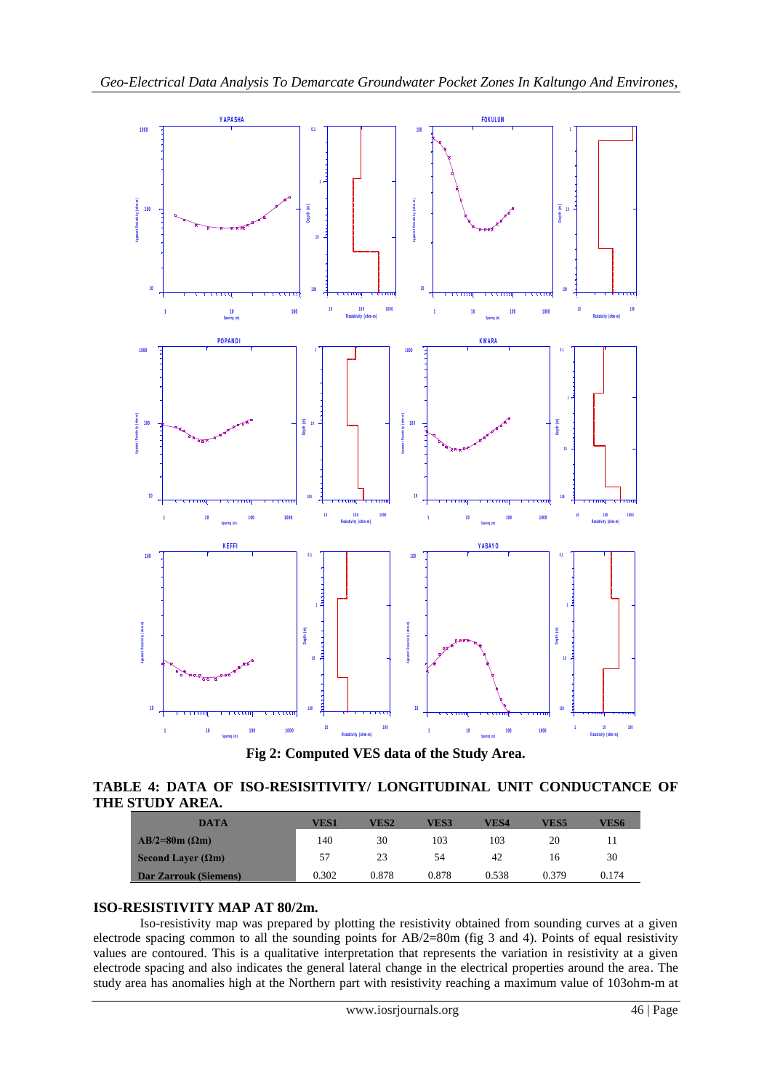

**Fig 2: Computed VES data of the Study Area.**

### **TABLE 4: DATA OF ISO-RESISITIVITY/ LONGITUDINAL UNIT CONDUCTANCE OF THE STUDY AREA.**

| <b>DATA</b>                  | VES1  | VES2  | VES3  | VES4  | VES5  | VES6  |
|------------------------------|-------|-------|-------|-------|-------|-------|
| $AB/2=80m (\Omega m)$        | 140   | 30    | 103   | 103   | 20    |       |
| Second Laver $(\Omega m)$    | 57    | 23    | 54    | 42    | 16    | 30    |
| <b>Dar Zarrouk (Siemens)</b> | 0.302 | 0.878 | 0.878 | 0.538 | 0.379 | 0.174 |

### **ISO-RESISTIVITY MAP AT 80/2m.**

Iso-resistivity map was prepared by plotting the resistivity obtained from sounding curves at a given electrode spacing common to all the sounding points for AB/2=80m (fig 3 and 4). Points of equal resistivity values are contoured. This is a qualitative interpretation that represents the variation in resistivity at a given electrode spacing and also indicates the general lateral change in the electrical properties around the area. The study area has anomalies high at the Northern part with resistivity reaching a maximum value of 103ohm-m at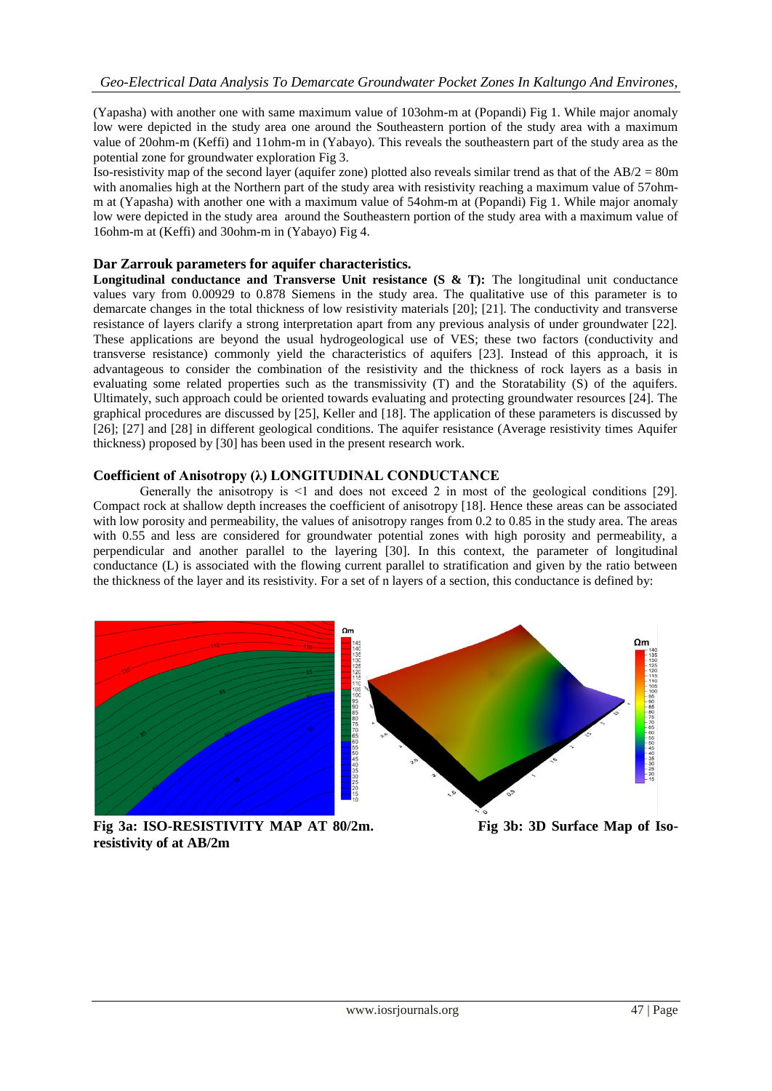(Yapasha) with another one with same maximum value of 103ohm-m at (Popandi) Fig 1. While major anomaly low were depicted in the study area one around the Southeastern portion of the study area with a maximum value of 20ohm-m (Keffi) and 11ohm-m in (Yabayo). This reveals the southeastern part of the study area as the potential zone for groundwater exploration Fig 3.

Iso-resistivity map of the second layer (aquifer zone) plotted also reveals similar trend as that of the AB/2 = 80m with anomalies high at the Northern part of the study area with resistivity reaching a maximum value of 57ohmm at (Yapasha) with another one with a maximum value of 54ohm-m at (Popandi) Fig 1. While major anomaly low were depicted in the study area around the Southeastern portion of the study area with a maximum value of 16ohm-m at (Keffi) and 30ohm-m in (Yabayo) Fig 4.

### **Dar Zarrouk parameters for aquifer characteristics.**

**Longitudinal conductance and Transverse Unit resistance (S & T):** The longitudinal unit conductance values vary from 0.00929 to 0.878 Siemens in the study area. The qualitative use of this parameter is to demarcate changes in the total thickness of low resistivity materials [20]; [21]. The conductivity and transverse resistance of layers clarify a strong interpretation apart from any previous analysis of under groundwater [22]. These applications are beyond the usual hydrogeological use of VES; these two factors (conductivity and transverse resistance) commonly yield the characteristics of aquifers [23]. Instead of this approach, it is advantageous to consider the combination of the resistivity and the thickness of rock layers as a basis in evaluating some related properties such as the transmissivity (T) and the Storatability (S) of the aquifers. Ultimately, such approach could be oriented towards evaluating and protecting groundwater resources [24]. The graphical procedures are discussed by [25], Keller and [18]. The application of these parameters is discussed by [26]; [27] and [28] in different geological conditions. The aquifer resistance (Average resistivity times Aquifer thickness) proposed by [30] has been used in the present research work.

### **Coefficient of Anisotropy (λ) LONGITUDINAL CONDUCTANCE**

Generally the anisotropy is  $\leq 1$  and does not exceed 2 in most of the geological conditions [29]. Compact rock at shallow depth increases the coefficient of anisotropy [18]. Hence these areas can be associated with low porosity and permeability, the values of anisotropy ranges from 0.2 to 0.85 in the study area. The areas with 0.55 and less are considered for groundwater potential zones with high porosity and permeability, a perpendicular and another parallel to the layering [30]. In this context, the parameter of longitudinal conductance (L) is associated with the flowing current parallel to stratification and given by the ratio between the thickness of the layer and its resistivity. For a set of n layers of a section, this conductance is defined by:



**resistivity of at AB/2m**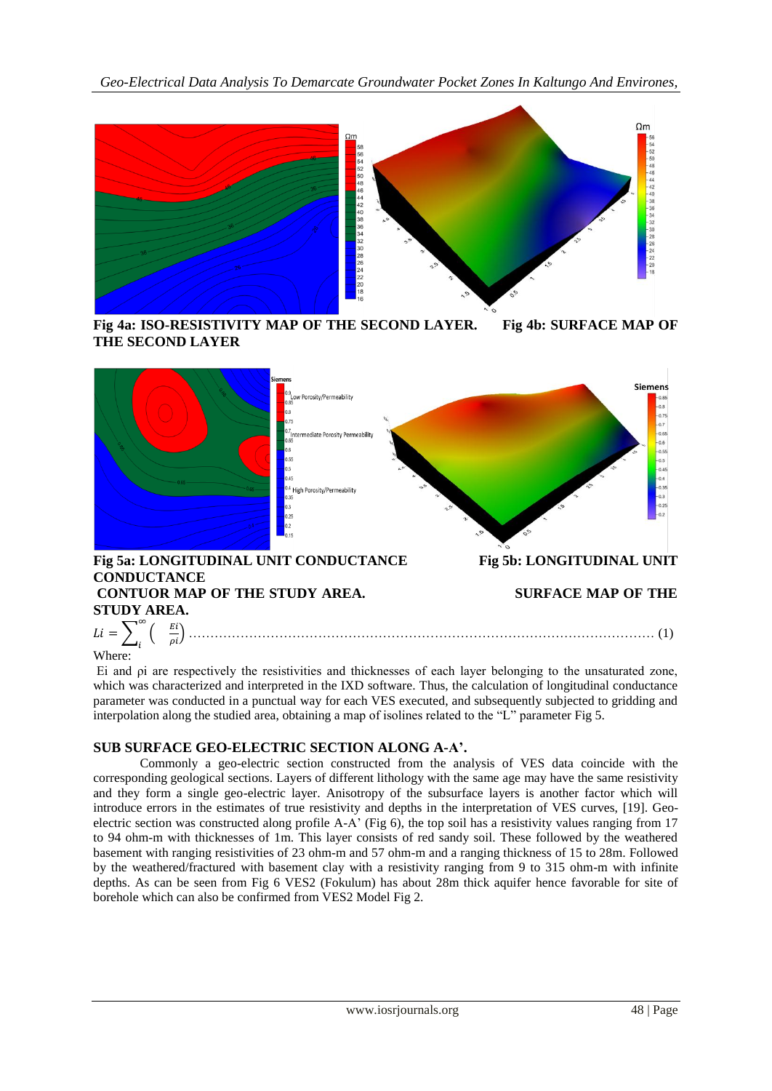*Geo-Electrical Data Analysis To Demarcate Groundwater Pocket Zones In Kaltungo And Environes,* 



**Fig 4a: ISO-RESISTIVITY MAP OF THE SECOND LAYER. Fig 4b: SURFACE MAP OF THE SECOND LAYER**



#### i Where:

Ei and ρi are respectively the resistivities and thicknesses of each layer belonging to the unsaturated zone, which was characterized and interpreted in the IXD software. Thus, the calculation of longitudinal conductance parameter was conducted in a punctual way for each VES executed, and subsequently subjected to gridding and interpolation along the studied area, obtaining a map of isolines related to the "L" parameter Fig 5.

### **SUB SURFACE GEO-ELECTRIC SECTION ALONG A-A'.**

Commonly a geo-electric section constructed from the analysis of VES data coincide with the corresponding geological sections. Layers of different lithology with the same age may have the same resistivity and they form a single geo-electric layer. Anisotropy of the subsurface layers is another factor which will introduce errors in the estimates of true resistivity and depths in the interpretation of VES curves, [19]. Geoelectric section was constructed along profile A-A' (Fig 6), the top soil has a resistivity values ranging from 17 to 94 ohm-m with thicknesses of 1m. This layer consists of red sandy soil. These followed by the weathered basement with ranging resistivities of 23 ohm-m and 57 ohm-m and a ranging thickness of 15 to 28m. Followed by the weathered/fractured with basement clay with a resistivity ranging from 9 to 315 ohm-m with infinite depths. As can be seen from Fig 6 VES2 (Fokulum) has about 28m thick aquifer hence favorable for site of borehole which can also be confirmed from VES2 Model Fig 2.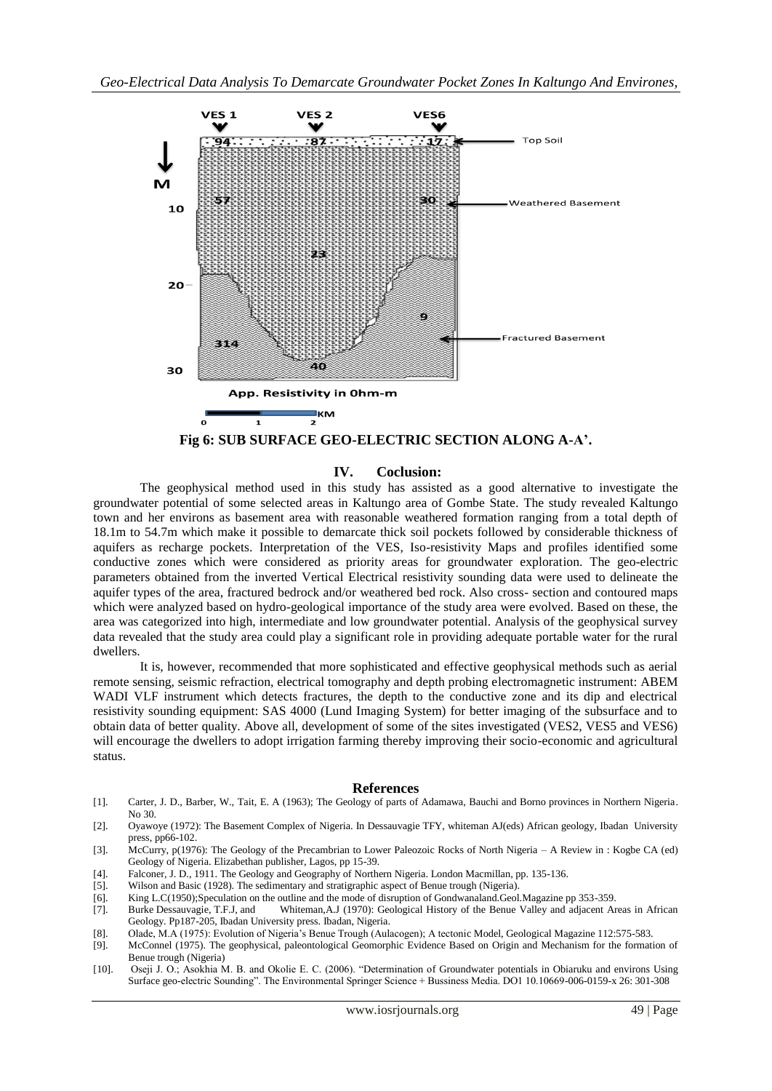

**Fig 6: SUB SURFACE GEO-ELECTRIC SECTION ALONG A-A'.**

#### **IV. Coclusion:**

The geophysical method used in this study has assisted as a good alternative to investigate the groundwater potential of some selected areas in Kaltungo area of Gombe State. The study revealed Kaltungo town and her environs as basement area with reasonable weathered formation ranging from a total depth of 18.1m to 54.7m which make it possible to demarcate thick soil pockets followed by considerable thickness of aquifers as recharge pockets. Interpretation of the VES, Iso-resistivity Maps and profiles identified some conductive zones which were considered as priority areas for groundwater exploration. The geo-electric parameters obtained from the inverted Vertical Electrical resistivity sounding data were used to delineate the aquifer types of the area, fractured bedrock and/or weathered bed rock. Also cross- section and contoured maps which were analyzed based on hydro-geological importance of the study area were evolved. Based on these, the area was categorized into high, intermediate and low groundwater potential. Analysis of the geophysical survey data revealed that the study area could play a significant role in providing adequate portable water for the rural dwellers.

It is, however, recommended that more sophisticated and effective geophysical methods such as aerial remote sensing, seismic refraction, electrical tomography and depth probing electromagnetic instrument: ABEM WADI VLF instrument which detects fractures, the depth to the conductive zone and its dip and electrical resistivity sounding equipment: SAS 4000 (Lund Imaging System) for better imaging of the subsurface and to obtain data of better quality. Above all, development of some of the sites investigated (VES2, VES5 and VES6) will encourage the dwellers to adopt irrigation farming thereby improving their socio-economic and agricultural status.

#### **References**

- [1]. Carter, J. D., Barber, W., Tait, E. A (1963); The Geology of parts of Adamawa, Bauchi and Borno provinces in Northern Nigeria. No 30.
- [2]. Oyawoye (1972): The Basement Complex of Nigeria. In Dessauvagie TFY, whiteman AJ(eds) African geology, Ibadan University press, pp66-102.
- [3]. McCurry, p(1976): The Geology of the Precambrian to Lower Paleozoic Rocks of North Nigeria A Review in : Kogbe CA (ed) Geology of Nigeria. Elizabethan publisher, Lagos, pp 15-39.
- [4]. Falconer, J. D., 1911. The Geology and Geography of Northern Nigeria. London Macmillan, pp. 135-136.
- [5]. Wilson and Basic (1928). The sedimentary and stratigraphic aspect of Benue trough (Nigeria).
- [6]. King L.C(1950);Speculation on the outline and the mode of disruption of Gondwanaland.Geol.Magazine pp 353-359.
- [7]. Burke Dessauvagie, T.F.J, and Whiteman,A.J (1970): Geological History of the Benue Valley and adjacent Areas in African Geology. Pp187-205, Ibadan University press. Ibadan, Nigeria.
- [8]. Olade, M.A (1975): Evolution of Nigeria's Benue Trough (Aulacogen); A tectonic Model, Geological Magazine 112:575-583.
- [9]. McConnel (1975). The geophysical, paleontological Geomorphic Evidence Based on Origin and Mechanism for the formation of Benue trough (Nigeria)
- [10]. Oseji J. O.; Asokhia M. B. and Okolie E. C. (2006). "Determination of Groundwater potentials in Obiaruku and environs Using Surface geo-electric Sounding". The Environmental Springer Science + Bussiness Media. DO1 10.10669-006-0159-x 26: 301-308